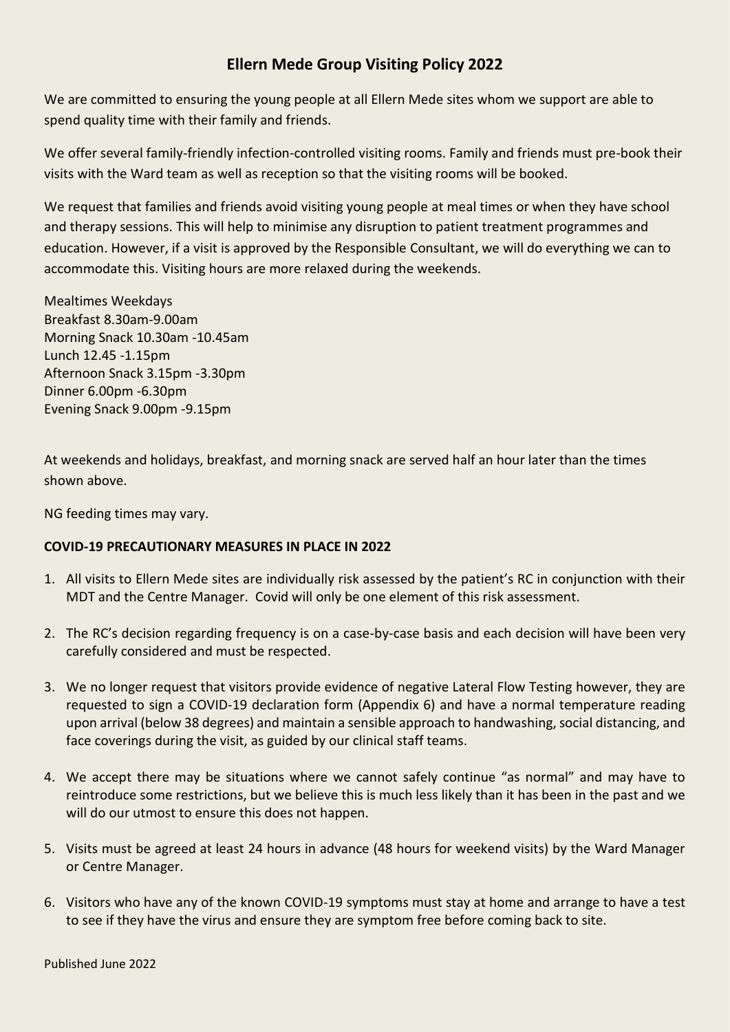## **Ellern Mede Group Visiting Policy 2022**

We are committed to ensuring the young people at all Ellern Mede sites whom we support are able to spend quality time with their family and friends.

We offer several family-friendly infection-controlled visiting rooms. Family and friends must pre-book their visits with the Ward team as well as reception so that the visiting rooms will be booked.

We request that families and friends avoid visiting young people at meal times or when they have school and therapy sessions. This will help to minimise any disruption to patient treatment programmes and education. However, if a visit is approved by the Responsible Consultant, we will do everything we can to accommodate this. Visiting hours are more relaxed during the weekends.

Mealtimes Weekdays Breakfast 8.30am-9.00am Morning Snack 10.30am -10.45am Lunch 12.45 -1.15pm Afternoon Snack 3.15pm -3.30pm Dinner 6.00pm -6.30pm Evening Snack 9.00pm -9.15pm

At weekends and holidays, breakfast, and morning snack are served half an hour later than the times shown above.

NG feeding times may vary.

## **COVID-19 PRECAUTIONARY MEASURES IN PLACE IN 2022**

- 1. All visits to Ellern Mede sites are individually risk assessed by the patient's RC in conjunction with their MDT and the Centre Manager. Covid will only be one element of this risk assessment.
- 2. The RC's decision regarding frequency is on a case-by-case basis and each decision will have been very carefully considered and must be respected.
- 3. We no longer request that visitors provide evidence of negative Lateral Flow Testing however, they are requested to sign a COVID-19 declaration form (Appendix 6) and have a normal temperature reading upon arrival (below 38 degrees) and maintain a sensible approach to handwashing, social distancing, and face coverings during the visit, as guided by our clinical staff teams.
- 4. We accept there may be situations where we cannot safely continue "as normal" and may have to reintroduce some restrictions, but we believe this is much less likely than it has been in the past and we will do our utmost to ensure this does not happen.
- 5. Visits must be agreed at least 24 hours in advance (48 hours for weekend visits) by the Ward Manager or Centre Manager.
- 6. Visitors who have any of the known COVID-19 symptoms must stay at home and arrange to have a test to see if they have the virus and ensure they are symptom free before coming back to site.